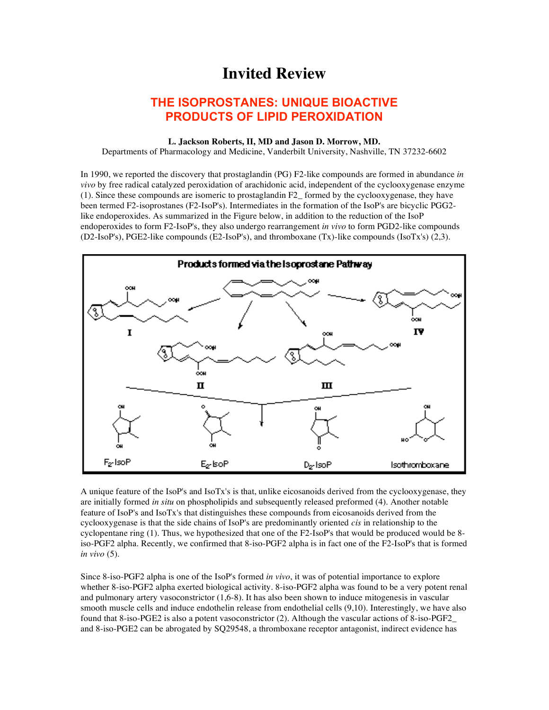## **Invited Review**

## **THE ISOPROSTANES: UNIQUE BIOACTIVE PRODUCTS OF LIPID PEROXIDATION**

## **L. Jackson Roberts, II, MD and Jason D. Morrow, MD.**

Departments of Pharmacology and Medicine, Vanderbilt University, Nashville, TN 37232-6602

In 1990, we reported the discovery that prostaglandin (PG) F2-like compounds are formed in abundance *in vivo* by free radical catalyzed peroxidation of arachidonic acid, independent of the cyclooxygenase enzyme (1). Since these compounds are isomeric to prostaglandin F2\_ formed by the cyclooxygenase, they have been termed F2-isoprostanes (F2-IsoP's). Intermediates in the formation of the IsoP's are bicyclic PGG2 like endoperoxides. As summarized in the Figure below, in addition to the reduction of the IsoP endoperoxides to form F2-IsoP's, they also undergo rearrangement *in vivo* to form PGD2-like compounds (D2-IsoP's), PGE2-like compounds (E2-IsoP's), and thromboxane (Tx)-like compounds (IsoTx's) (2,3).



A unique feature of the IsoP's and IsoTx's is that, unlike eicosanoids derived from the cyclooxygenase, they are initially formed *in situ* on phospholipids and subsequently released preformed (4). Another notable feature of IsoP's and IsoTx's that distinguishes these compounds from eicosanoids derived from the cyclooxygenase is that the side chains of IsoP's are predominantly oriented *cis* in relationship to the cyclopentane ring (1). Thus, we hypothesized that one of the F2-IsoP's that would be produced would be 8 iso-PGF2 alpha. Recently, we confirmed that 8-iso-PGF2 alpha is in fact one of the F2-IsoP's that is formed *in vivo* (5).

Since 8-iso-PGF2 alpha is one of the IsoP's formed *in vivo*, it was of potential importance to explore whether 8-iso-PGF2 alpha exerted biological activity. 8-iso-PGF2 alpha was found to be a very potent renal and pulmonary artery vasoconstrictor (1,6-8). It has also been shown to induce mitogenesis in vascular smooth muscle cells and induce endothelin release from endothelial cells (9,10). Interestingly, we have also found that 8-iso-PGE2 is also a potent vasoconstrictor (2). Although the vascular actions of 8-iso-PGF2\_ and 8-iso-PGE2 can be abrogated by SQ29548, a thromboxane receptor antagonist, indirect evidence has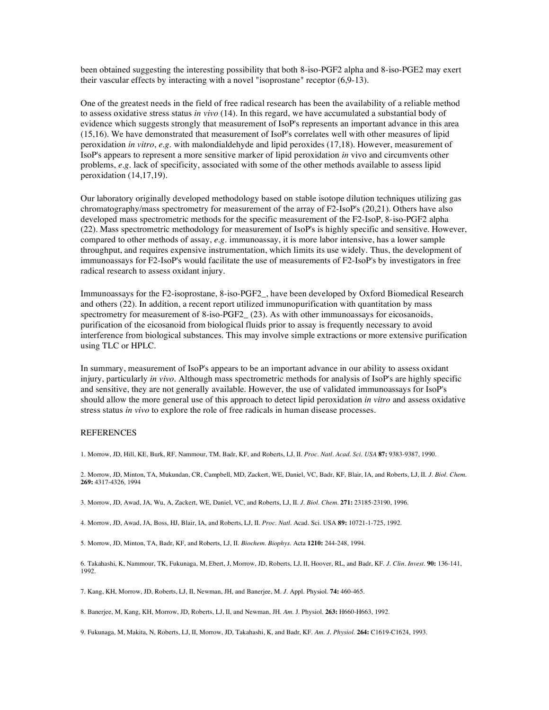been obtained suggesting the interesting possibility that both 8-iso-PGF2 alpha and 8-iso-PGE2 may exert their vascular effects by interacting with a novel "isoprostane" receptor (6,9-13).

One of the greatest needs in the field of free radical research has been the availability of a reliable method to assess oxidative stress status *in vivo* (14). In this regard, we have accumulated a substantial body of evidence which suggests strongly that measurement of IsoP's represents an important advance in this area (15,16). We have demonstrated that measurement of IsoP's correlates well with other measures of lipid peroxidation *in vitro*, *e.g.* with malondialdehyde and lipid peroxides (17,18). However, measurement of IsoP's appears to represent a more sensitive marker of lipid peroxidation *in* vivo and circumvents other problems, *e.g.* lack of specificity, associated with some of the other methods available to assess lipid peroxidation (14,17,19).

Our laboratory originally developed methodology based on stable isotope dilution techniques utilizing gas chromatography/mass spectrometry for measurement of the array of F2-IsoP's (20,21). Others have also developed mass spectrometric methods for the specific measurement of the F2-IsoP, 8-iso-PGF2 alpha (22). Mass spectrometric methodology for measurement of IsoP's is highly specific and sensitive. However, compared to other methods of assay, *e.g.* immunoassay, it is more labor intensive, has a lower sample throughput, and requires expensive instrumentation, which limits its use widely. Thus, the development of immunoassays for F2-IsoP's would facilitate the use of measurements of F2-IsoP's by investigators in free radical research to assess oxidant injury.

Immunoassays for the F2-isoprostane, 8-iso-PGF2\_, have been developed by Oxford Biomedical Research and others (22). In addition, a recent report utilized immunopurification with quantitation by mass spectrometry for measurement of 8-iso-PGF2 (23). As with other immunoassays for eicosanoids, purification of the eicosanoid from biological fluids prior to assay is frequently necessary to avoid interference from biological substances. This may involve simple extractions or more extensive purification using TLC or HPLC.

In summary, measurement of IsoP's appears to be an important advance in our ability to assess oxidant injury, particularly *in vivo*. Although mass spectrometric methods for analysis of IsoP's are highly specific and sensitive, they are not generally available. However, the use of validated immunoassays for IsoP's should allow the more general use of this approach to detect lipid peroxidation *in vitro* and assess oxidative stress status *in vivo* to explore the role of free radicals in human disease processes.

## REFERENCES

1. Morrow, JD, Hill, KE, Burk, RF, Nammour, TM, Badr, KF, and Roberts, LJ, II. *Proc. Natl. Acad. Sci. USA* **87:** 9383-9387, 1990.

2. Morrow, JD, Minton, TA, Mukundan, CR, Campbell, MD, Zackert, WE, Daniel, VC, Badr, KF, Blair, IA, and Roberts, LJ, II. *J. Biol. Chem.* **269:** 4317-4326, 1994

3. Morrow, JD, Awad, JA, Wu, A, Zackert, WE, Daniel, VC, and Roberts, LJ, II. *J. Biol. Chem.* **271:** 23185-23190, 1996.

4. Morrow, JD, Awad, JA, Boss, HJ, Blair, IA, and Roberts, LJ, II. *Proc. Natl.* Acad. Sci. USA **89:** 10721-1-725, 1992.

5. Morrow, JD, Minton, TA, Badr, KF, and Roberts, LJ, II. *Biochem. Biophys.* Acta **1210:** 244-248, 1994.

6. Takahashi, K, Nammour, TK, Fukunaga, M, Ebert, J, Morrow, JD, Roberts, LJ, II, Hoover, RL, and Badr, KF. *J. Clin. Invest.* **90:** 136-141, 1992.

7. Kang, KH, Morrow, JD, Roberts, LJ, II, Newman, JH, and Banerjee, M. *J.* Appl. Physiol. **74:** 460-465.

8. Banerjee, M, Kang, KH, Morrow, JD, Roberts, LJ, II, and Newman, JH. *Am.* J. Physiol. **263:** H660-H663, 1992.

9. Fukunaga, M, Makita, N, Roberts, LJ, II, Morrow, JD, Takahashi, K, and Badr, KF. *Am. J. Physiol.* **264:** C1619-C1624, 1993.